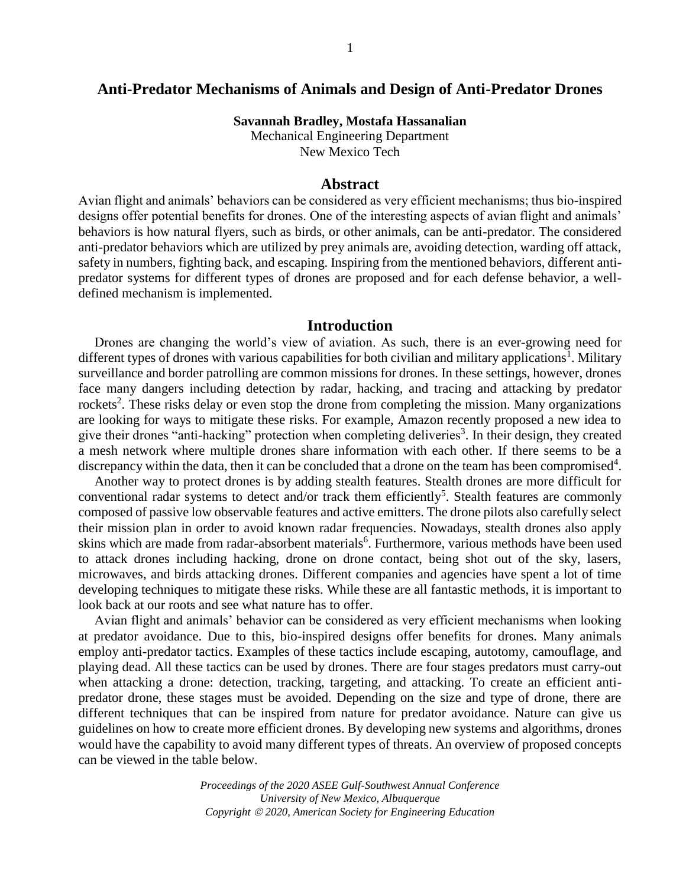## **Anti-Predator Mechanisms of Animals and Design of Anti-Predator Drones**

**Savannah Bradley, Mostafa Hassanalian**

Mechanical Engineering Department New Mexico Tech

### **Abstract**

Avian flight and animals' behaviors can be considered as very efficient mechanisms; thus bio-inspired designs offer potential benefits for drones. One of the interesting aspects of avian flight and animals' behaviors is how natural flyers, such as birds, or other animals, can be anti-predator. The considered anti-predator behaviors which are utilized by prey animals are, avoiding detection, warding off attack, safety in numbers, fighting back, and escaping. Inspiring from the mentioned behaviors, different antipredator systems for different types of drones are proposed and for each defense behavior, a welldefined mechanism is implemented.

## **Introduction**

Drones are changing the world's view of aviation. As such, there is an ever-growing need for different types of drones with various capabilities for both civilian and military applications<sup>1</sup>. Military surveillance and border patrolling are common missions for drones. In these settings, however, drones face many dangers including detection by radar, hacking, and tracing and attacking by predator rockets<sup>2</sup>. These risks delay or even stop the drone from completing the mission. Many organizations are looking for ways to mitigate these risks. For example, Amazon recently proposed a new idea to give their drones "anti-hacking" protection when completing deliveries<sup>3</sup>. In their design, they created a mesh network where multiple drones share information with each other. If there seems to be a discrepancy within the data, then it can be concluded that a drone on the team has been compromised<sup>4</sup>.

Another way to protect drones is by adding stealth features. Stealth drones are more difficult for conventional radar systems to detect and/or track them efficiently<sup>5</sup>. Stealth features are commonly composed of passive low observable features and active emitters. The drone pilots also carefully select their mission plan in order to avoid known radar frequencies. Nowadays, stealth drones also apply skins which are made from radar-absorbent materials<sup>6</sup>. Furthermore, various methods have been used to attack drones including hacking, drone on drone contact, being shot out of the sky, lasers, microwaves, and birds attacking drones. Different companies and agencies have spent a lot of time developing techniques to mitigate these risks. While these are all fantastic methods, it is important to look back at our roots and see what nature has to offer.

Avian flight and animals' behavior can be considered as very efficient mechanisms when looking at predator avoidance. Due to this, bio-inspired designs offer benefits for drones. Many animals employ anti-predator tactics. Examples of these tactics include escaping, autotomy, camouflage, and playing dead. All these tactics can be used by drones. There are four stages predators must carry-out when attacking a drone: detection, tracking, targeting, and attacking. To create an efficient antipredator drone, these stages must be avoided. Depending on the size and type of drone, there are different techniques that can be inspired from nature for predator avoidance. Nature can give us guidelines on how to create more efficient drones. By developing new systems and algorithms, drones would have the capability to avoid many different types of threats. An overview of proposed concepts can be viewed in the table below.

> *Proceedings of the 2020 ASEE Gulf-Southwest Annual Conference University of New Mexico, Albuquerque Copyright 2020, American Society for Engineering Education*